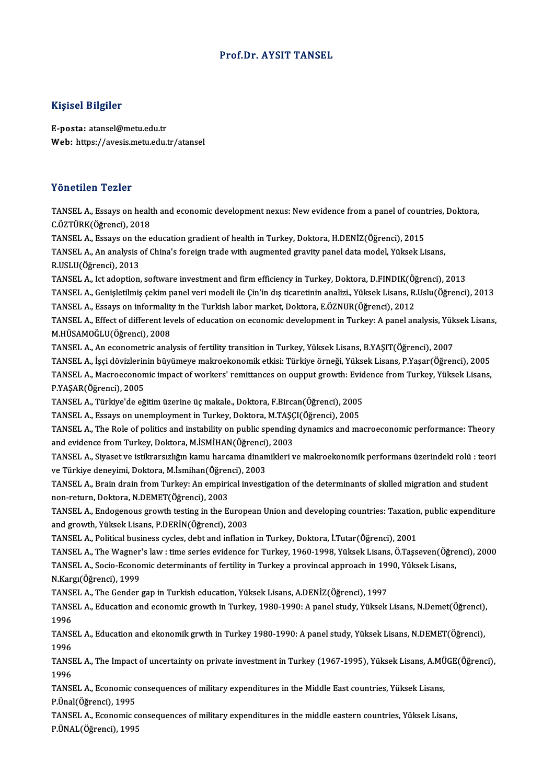## Prof.Dr. AYSIT TANSEL

## Kişisel Bilgiler

E-posta: atansel@metu.edu.tr Web: https://avesis.metu.edu.tr/atansel

## Yönetilen Tezler

Yönetilen Tezler<br>TANSEL A., Essays on health and economic development nexus: New evidence from a panel of countries, Doktora,<br>C.ÖZTÜRK(Öğrensi), 2019 TOROCHOR TORICI<br>TANSEL A., Essays on healt<br>C.ÖZTÜRK(Öğrenci), 2018<br>TANSEL A., Essays on the a TANSEL A., Essays on health and economic development nexus: New evidence from a panel of count<br>C.ÖZTÜRK(Öğrenci), 2018<br>TANSEL A., Essays on the education gradient of health in Turkey, Doktora, H.DENİZ(Öğrenci), 2015<br>TANSEL

C.ÖZTÜRK(Öğrenci), 2018<br>TANSEL A., Essays on the education gradient of health in Turkey, Doktora, H.DENİZ(Öğrenci), 2015<br>TANSEL A., An analysis of China's foreign trade with augmented gravity panel data model, Yüksek Lisan TANSEL A., Essays on th<br>TANSEL A., An analysis<br>R.USLU(Öğrenci), 2013<br>TANSEL A. Ist adontion TANSEL A., An analysis of China's foreign trade with augmented gravity panel data model, Yüksek Lisans,<br>R.USLU(Öğrenci), 2013<br>TANSEL A., Ict adoption, software investment and firm efficiency in Turkey, Doktora, D.FINDIK(Öğ

R.USLU(Öğrenci), 2013<br>TANSEL A., Ict adoption, software investment and firm efficiency in Turkey, Doktora, D.FINDIK(Öğrenci), 2013<br>TANSEL A., Genişletilmiş çekim panel veri modeli ile Çin'in dış ticaretinin analizi., Yükse TANSEL A., Ict adoption, software investment and firm efficiency in Turkey, Doktora, D.FINDIK(Öğ<br>TANSEL A., Genişletilmiş çekim panel veri modeli ile Çin'in dış ticaretinin analizi., Yüksek Lisans, R.<br>TANSEL A., Essays on

TANSEL A., Genişletilmiş çekim panel veri modeli ile Çin'in dış ticaretinin analizi., Yüksek Lisans, R.Uslu(Öğrenci), 2013<br>TANSEL A., Essays on informality in the Turkish labor market, Doktora, E.ÖZNUR(Öğrenci), 2012<br>TANSE TANSEL A., Essays on informalit<br>TANSEL A., Effect of different lev<br>M.HÜSAMOĞLU(Öğrenci), 2008<br>TANSEL A. An essanemetris anal TANSEL A., Effect of different levels of education on economic development in Turkey: A panel analysis, Yük<br>M.HÜSAMOĞLU(Öğrenci), 2008<br>TANSEL A., An econometric analysis of fertility transition in Turkey, Yüksek Lisans, B.

M.HÜSAMOĞLU(Öğrenci), 2008<br>TANSEL A., An econometric analysis of fertility transition in Turkey, Yüksek Lisans, B.YAŞIT(Öğrenci), 2007<br>TANSEL A., İşçi dövizlerinin büyümeye makroekonomik etkisi: Türkiye örneği, Yüksek Lisa

TANSEL A., An econometric analysis of fertility transition in Turkey, Yüksek Lisans, B.YAŞIT(Öğrenci), 2007<br>TANSEL A., İşçi dövizlerinin büyümeye makroekonomik etkisi: Türkiye örneği, Yüksek Lisans, P.Yaşar(Öğrenci), 2005<br> TANSEL A., İşçi dövizlerin<br>TANSEL A., Macroeconon<br>P.YAŞAR(Öğrenci), 2005<br>TANSEL A., Türkiye'de eğ TANSEL A., Macroeconomic impact of workers' remittances on oupput growth: Evidence from Turkey, Yüksek Lisans,<br>P.YAŞAR(Öğrenci), 2005<br>TANSEL A., Türkiye'de eğitim üzerine üç makale., Doktora, F.Bircan(Öğrenci), 2005<br>TANSEL

TANSEL A., Türkiye'de eğitim üzerine üç makale., Doktora, F.Bircan(Öğrenci), 2005

TANSEL A., The Role of politics and instability on public spending dynamics and macroeconomic performance: Theory TANSEL A., Essays on unemployment in Turkey, Doktora, M.TAŞÇ<br>TANSEL A., The Role of politics and instability on public spending<br>and evidence from Turkey, Doktora, M.İSMİHAN(Öğrenci), 2003<br>TANSEL A., Siyaset ve istilmarsızl

TANSEL A., Siyaset ve istikrarsızlığın kamu harcama dinamikleri ve makroekonomik performans üzerindeki rolü : teori<br>ve Türkiye deneyimi, Doktora, M.İsmihan(Öğrenci), 2003 and evidence from Turkey, Doktora, M.İSMİHAN(Öğrenci)<br>TANSEL A., Siyaset ve istikrarsızlığın kamu harcama dinan<br>ve Türkiye deneyimi, Doktora, M.İsmihan(Öğrenci), 2003<br>TANSEL A., Prain drain from Turkey, An emnirisel invest TANSEL A., Siyaset ve istikrarsızlığın kamu harcama dinamikleri ve makroekonomik performans üzerindeki rolü : teo<br>ve Türkiye deneyimi, Doktora, M.İsmihan(Öğrenci), 2003<br>TANSEL A., Brain drain from Turkey: An empirical inve

ve Türkiye deneyimi, Doktora, M.İsmihan(Öğren<br>TANSEL A., Brain drain from Turkey: An empirio<br>non-return, Doktora, N.DEMET(Öğrenci), 2003<br>TANSEL A., Endogenous srouth testing in the Et TANSEL A., Brain drain from Turkey: An empirical investigation of the determinants of skilled migration and student<br>non-return, Doktora, N.DEMET(Öğrenci), 2003<br>TANSEL A., Endogenous growth testing in the European Union and

non-return, Doktora, N.DEMET(Öğrenci), 2003<br>TANSEL A., Endogenous growth testing in the European Union and developing countries: Taxation<br>and growth, Yüksek Lisans, P.DERİN(Öğrenci), 2003<br>TANSEL A., Political business cycl TANSEL A., Endogenous growth testing in the European Union and developing countries: Taxation, public expenditure and growth, Yüksek Lisans, P.DERİN(Öğrenci), 2003<br>TANSEL A., Political business cycles, debt and inflation in Turkey, Doktora, İ.Tutar(Öğrenci), 2001<br>TANSEL A., The Wagner's law : time series evidence for Turkey, 1960-1998

TANSEL A., Political business cycles, debt and inflation in Turkey, Doktora, İ.Tutar(Öğrenci), 2001<br>TANSEL A., The Wagner's law : time series evidence for Turkey, 1960-1998, Yüksek Lisans, Ö.Taşseven(Öğre<br>TANSEL A., Socio-TANSEL A., The Wagner<br>TANSEL A., Socio-Econo<br>N.Kargı(Öğrenci), 1999<br>TANSEL A. The Cender TANSEL A., Socio-Economic determinants of fertility in Turkey a provincal approach in 1990, Yüksek Lisans,<br>N.Kargı(Öğrenci), 1999<br>TANSEL A., The Gender gap in Turkish education, Yüksek Lisans, A.DENİZ(Öğrenci), 1997

N.Kargı(Öğrenci), 1999<br>TANSEL A., The Gender gap in Turkish education, Yüksek Lisans, A.DENİZ(Öğrenci), 1997<br>TANSEL A., Education and economic growth in Turkey, 1980-1990: A panel study, Yüksek Lisans, N.Demet(Öğrenci), TANSI<br>TANSI<br>1996<br>Tangi TANSEL A., Education and economic growth in Turkey, 1980-1990: A panel study, Yüksek Lisans, N.Demet(Öğrenci),<br>1996<br>TANSEL A., Education and ekonomik grwth in Turkey 1980-1990: A panel study, Yüksek Lisans, N.DEMET(Öğrenci

1996<br>TANSI<br>1996<br>Tansi TANSEL A., Education and ekonomik grwth in Turkey 1980-1990: A panel study, Yüksek Lisans, N.DEMET(Öğrenci),<br>1996<br>TANSEL A., The Impact of uncertainty on private investment in Turkey (1967-1995), Yüksek Lisans, A.MÜGE(Öğre

1996<br>TANSEL A., The Impact of uncertainty on private investment in Turkey (1967-1995), Yüksek Lisans, A.MÜGE(Öğrenci),<br>1996 TANSEL A., The Impact of uncertainty on private investment in Turkey (1967-1995), Yüksek Lisans, A.MÜ<br>1996<br>TANSEL A., Economic consequences of military expenditures in the Middle East countries, Yüksek Lisans,<br>P.Ünal(Öğren

1996<br>TANSEL A., Economic c<br>P.Ünal(Öğrenci), 1995<br>TANSEL A. Economic c TANSEL A., Economic consequences of military expenditures in the Middle East countries, Yüksek Lisans,<br>P.Ünal(Öğrenci), 1995<br>TANSEL A., Economic consequences of military expenditures in the middle eastern countries, Yüksek

P.Ünal(Öğrenci), 1995<br>TANSEL A., Economic consequences of military expenditures in the middle eastern countries, Yüksek Lisans,<br>P.ÜNAL(Öğrenci), 1995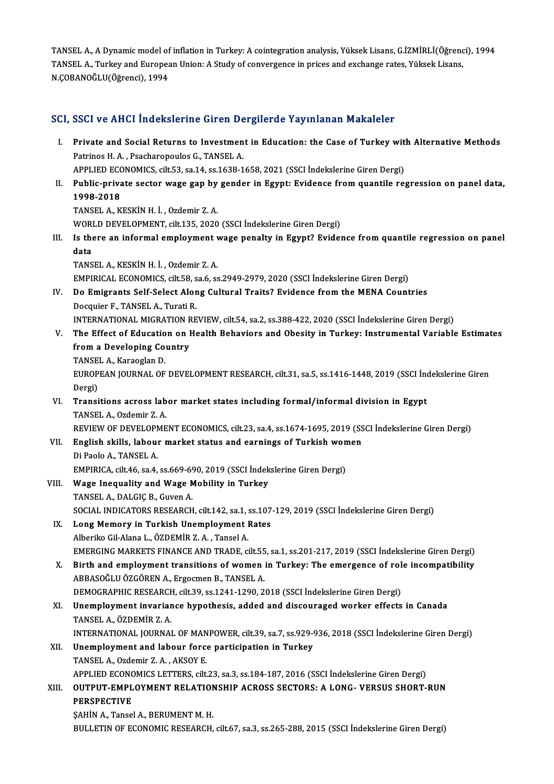TANSEL A., A Dynamic model of inflation in Turkey: A cointegration analysis, Yüksek Lisans, G.İZMİRLİ(Öğrenci), 1994 TANSEL A., A Dynamic model of inflation in Turkey: A cointegration analysis, Yüksek Lisans, G.İZMİRLİ(Öğrend<br>TANSEL A., Turkey and European Union: A Study of convergence in prices and exchange rates, Yüksek Lisans,<br>N COBAN TANSEL A., A Dynamic model of<br>TANSEL A., Turkey and Europea<br>N.ÇOBANOĞLU(Öğrenci), 1994

# N.ÇOBANOGLO(Ogrenci), 1994<br>SCI, SSCI ve AHCI İndekslerine Giren Dergilerde Yayınlanan Makaleler

|       | SCI, SSCI ve AHCI İndekslerine Giren Dergilerde Yayınlanan Makaleler                                                                               |
|-------|----------------------------------------------------------------------------------------------------------------------------------------------------|
| L.    | Private and Social Returns to Investment in Education: the Case of Turkey with Alternative Methods<br>Patrinos H. A., Psacharopoulos G., TANSEL A. |
|       | APPLIED ECONOMICS, cilt.53, sa.14, ss.1638-1658, 2021 (SSCI İndekslerine Giren Dergi)                                                              |
| П.    | Public-private sector wage gap by gender in Egypt: Evidence from quantile regression on panel data,<br>1998-2018                                   |
|       | TANSEL A, KESKİN H. İ., Ozdemir Z. A.                                                                                                              |
|       | WORLD DEVELOPMENT, cilt.135, 2020 (SSCI İndekslerine Giren Dergi)                                                                                  |
| Ш.    | Is there an informal employment wage penalty in Egypt? Evidence from quantile regression on panel                                                  |
|       | data                                                                                                                                               |
|       | TANSEL A., KESKİN H. İ., Ozdemir Z. A.                                                                                                             |
|       | EMPIRICAL ECONOMICS, cilt.58, sa.6, ss.2949-2979, 2020 (SSCI Indekslerine Giren Dergi)                                                             |
| IV.   | Do Emigrants Self-Select Along Cultural Traits? Evidence from the MENA Countries                                                                   |
|       | Docquier F., TANSEL A., Turati R.                                                                                                                  |
|       | INTERNATIONAL MIGRATION REVIEW, cilt.54, sa.2, ss.388-422, 2020 (SSCI İndekslerine Giren Dergi)                                                    |
| V.    | The Effect of Education on Health Behaviors and Obesity in Turkey: Instrumental Variable Estimates                                                 |
|       | from a Developing Country                                                                                                                          |
|       | TANSEL A., Karaoglan D.                                                                                                                            |
|       | EUROPEAN JOURNAL OF DEVELOPMENT RESEARCH, cilt.31, sa.5, ss.1416-1448, 2019 (SSCI İndekslerine Giren                                               |
|       | Dergi)                                                                                                                                             |
| VI.   | Transitions across labor market states including formal/informal division in Egypt                                                                 |
|       | TANSEL A., Ozdemir Z. A.                                                                                                                           |
|       | REVIEW OF DEVELOPMENT ECONOMICS, cilt.23, sa.4, ss.1674-1695, 2019 (SSCI İndekslerine Giren Dergi)                                                 |
| VII.  | English skills, labour market status and earnings of Turkish women<br>Di Paolo A., TANSEL A.                                                       |
|       | EMPIRICA, cilt.46, sa.4, ss.669-690, 2019 (SSCI İndekslerine Giren Dergi)                                                                          |
| VIII. | Wage Inequality and Wage Mobility in Turkey                                                                                                        |
|       | TANSEL A., DALGIC B., Guven A.                                                                                                                     |
|       | SOCIAL INDICATORS RESEARCH, cilt.142, sa.1, ss.107-129, 2019 (SSCI İndekslerine Giren Dergi)                                                       |
|       | IX. Long Memory in Turkish Unemployment Rates                                                                                                      |
|       | Alberiko Gil-Alana L., ÖZDEMİR Z. A., Tansel A.                                                                                                    |
|       | EMERGING MARKETS FINANCE AND TRADE, cilt.55, sa.1, ss.201-217, 2019 (SSCI İndekslerine Giren Dergi)                                                |
| X.    | Birth and employment transitions of women in Turkey: The emergence of role incompatibility                                                         |
|       | ABBASOĞLU ÖZGÖREN A., Ergocmen B., TANSEL A.                                                                                                       |
|       | DEMOGRAPHIC RESEARCH, cilt.39, ss.1241-1290, 2018 (SSCI İndekslerine Giren Dergi)                                                                  |
| XI.   | Unemployment invariance hypothesis, added and discouraged worker effects in Canada                                                                 |
|       | TANSEL A., ÖZDEMİR Z. A.                                                                                                                           |
|       | INTERNATIONAL JOURNAL OF MANPOWER, cilt.39, sa.7, ss.929-936, 2018 (SSCI İndekslerine Giren Dergi)                                                 |
| XII.  | Unemployment and labour force participation in Turkey                                                                                              |
|       | TANSEL A., Ozdemir Z. A., AKSOY E.                                                                                                                 |
|       | APPLIED ECONOMICS LETTERS, cilt.23, sa.3, ss.184-187, 2016 (SSCI İndekslerine Giren Dergi)                                                         |
| XIII. | OUTPUT-EMPLOYMENT RELATIONSHIP ACROSS SECTORS: A LONG- VERSUS SHORT-RUN                                                                            |
|       | <b>PERSPECTIVE</b>                                                                                                                                 |
|       | SAHIN A., Tansel A., BERUMENT M. H.                                                                                                                |
|       | BULLETIN OF ECONOMIC RESEARCH, cilt.67, sa.3, ss.265-288, 2015 (SSCI Indekslerine Giren Dergi)                                                     |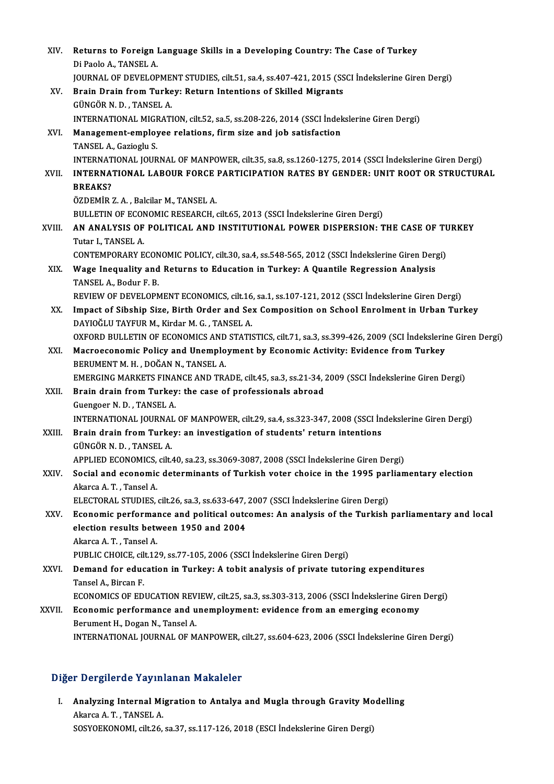| XIV.   | Returns to Foreign Language Skills in a Developing Country: The Case of Turkey<br>Di Paolo A., TANSEL A.                |
|--------|-------------------------------------------------------------------------------------------------------------------------|
|        | JOURNAL OF DEVELOPMENT STUDIES, cilt.51, sa.4, ss.407-421, 2015 (SSCI Indekslerine Giren Dergi)                         |
| XV.    | Brain Drain from Turkey: Return Intentions of Skilled Migrants                                                          |
|        | GÜNGÖR N.D., TANSEL A.                                                                                                  |
|        | INTERNATIONAL MIGRATION, cilt.52, sa.5, ss.208-226, 2014 (SSCI İndekslerine Giren Dergi)                                |
| XVI.   | Management-employee relations, firm size and job satisfaction<br>TANSEL A., Gazioglu S.                                 |
|        | INTERNATIONAL JOURNAL OF MANPOWER, cilt.35, sa.8, ss.1260-1275, 2014 (SSCI İndekslerine Giren Dergi)                    |
| XVII.  | INTERNATIONAL LABOUR FORCE PARTICIPATION RATES BY GENDER: UNIT ROOT OR STRUCTURAL<br><b>BREAKS?</b>                     |
|        | ÖZDEMİR Z. A., Balcilar M., TANSEL A.                                                                                   |
|        | BULLETIN OF ECONOMIC RESEARCH, cilt.65, 2013 (SSCI İndekslerine Giren Dergi)                                            |
| XVIII. | AN ANALYSIS OF POLITICAL AND INSTITUTIONAL POWER DISPERSION: THE CASE OF TURKEY<br>Tutar I, TANSEL A                    |
|        | CONTEMPORARY ECONOMIC POLICY, cilt.30, sa.4, ss.548-565, 2012 (SSCI İndekslerine Giren Dergi)                           |
| XIX.   | Wage Inequality and Returns to Education in Turkey: A Quantile Regression Analysis                                      |
|        | TANSEL A., Bodur F. B.                                                                                                  |
|        | REVIEW OF DEVELOPMENT ECONOMICS, cilt.16, sa.1, ss.107-121, 2012 (SSCI İndekslerine Giren Dergi)                        |
| XX.    | Impact of Sibship Size, Birth Order and Sex Composition on School Enrolment in Urban Turkey                             |
|        | DAYIOĞLU TAYFUR M., Kirdar M. G., TANSEL A.                                                                             |
|        | OXFORD BULLETIN OF ECONOMICS AND STATISTICS, cilt.71, sa.3, ss.399-426, 2009 (SCI İndekslerine Giren Dergi)             |
| XXI.   | Macroeconomic Policy and Unemployment by Economic Activity: Evidence from Turkey<br>BERUMENT M. H., DOĞAN N., TANSEL A. |
|        | EMERGING MARKETS FINANCE AND TRADE, cilt.45, sa.3, ss.21-34, 2009 (SSCI İndekslerine Giren Dergi)                       |
| XXII.  | Brain drain from Turkey: the case of professionals abroad                                                               |
|        | Guengoer N D , TANSEL A                                                                                                 |
|        | INTERNATIONAL JOURNAL OF MANPOWER, cilt.29, sa.4, ss.323-347, 2008 (SSCI İndekslerine Giren Dergi)                      |
| XXIII. | Brain drain from Turkey: an investigation of students' return intentions                                                |
|        | GÜNGÖR N.D., TANSEL A.                                                                                                  |
|        | APPLIED ECONOMICS, cilt.40, sa.23, ss.3069-3087, 2008 (SSCI Indekslerine Giren Dergi)                                   |
| XXIV.  | Social and economic determinants of Turkish voter choice in the 1995 parliamentary election                             |
|        | Akarca A T, Tansel A                                                                                                    |
|        | ELECTORAL STUDIES, cilt.26, sa.3, ss.633-647, 2007 (SSCI Indekslerine Giren Dergi)                                      |
| XXV.   | Economic performance and political outcomes: An analysis of the Turkish parliamentary and local                         |
|        | election results between 1950 and 2004                                                                                  |
|        | Akarca A.T., Tansel A.                                                                                                  |
|        | PUBLIC CHOICE, cilt.129, ss.77-105, 2006 (SSCI Indekslerine Giren Dergi)                                                |
| XXVI.  | Demand for education in Turkey: A tobit analysis of private tutoring expenditures                                       |
|        | Tansel A., Bircan F.                                                                                                    |
|        | ECONOMICS OF EDUCATION REVIEW, cilt.25, sa.3, ss.303-313, 2006 (SSCI Indekslerine Giren Dergi)                          |
| XXVII. | Economic performance and unemployment: evidence from an emerging economy                                                |
|        | Berument H., Dogan N., Tansel A.                                                                                        |
|        | INTERNATIONAL JOURNAL OF MANPOWER, cilt.27, ss.604-623, 2006 (SSCI İndekslerine Giren Dergi)                            |

## Diğer Dergilerde Yayınlanan Makaleler

Iger Dergilerde Yayınlanan Makaleler<br>I. Analyzing Internal Migration to Antalya and Mugla through Gravity Modelling Akarca A.T., TANSEL A.<br>Analyzing Internal Mi<br>Akarca A.T., TANSEL A. Analyzing Internal Migration to Antalya and Mugla through Gravity Mo<br>Akarca A. T. , TANSEL A.<br>SOSYOEKONOMI, cilt.26, sa.37, ss.117-126, 2018 (ESCI İndekslerine Giren Dergi)